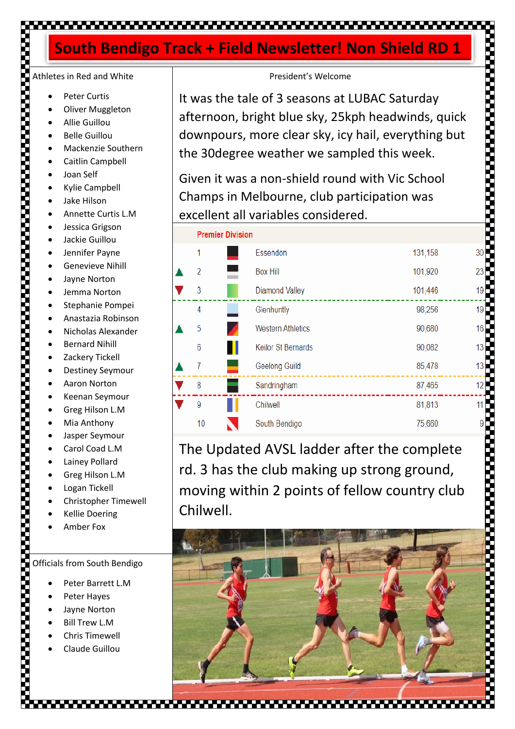### 

**Dramier Division** 

### **South Bendigo Track + Field Newsletter! Non Shield RD 1**

# Athletes in Red and White

- Peter Curtis
- **Oliver Muggleton**
- Allie Guillou
- Belle Guillou
- Mackenzie Southern
- Caitlin Campbell
- Joan Self
- Kylie Campbell
- Jake Hilson
- Annette Curtis L.M
- Jessica Grigson
- Jackie Guillou
- Jennifer Payne
- Genevieve Nihill
- Jayne Norton
- Jemma Norton
- Stephanie Pompei
- Anastazia Robinson
- Nicholas Alexander
- Bernard Nihill
- Zackery Tickell
- Destiney Seymour
- Aaron Norton
- Keenan Seymour
- Greg Hilson L.M
- Mia Anthony
- Jasper Seymour
- Carol Coad L.M
- Lainey Pollard
- Greg Hilson L.M
- Logan Tickell
- Christopher Timewell
- Kellie Doering
- Amber Fox

Officials from South Bendigo

- Peter Barrett L.M
- Peter Hayes
- Jayne Norton
- **Bill Trew L.M**
- Chris Timewell
- Claude Guillou

### President's Welcome

It was the tale of 3 seasons at LUBAC Saturday afternoon, bright blue sky, 25kph headwinds, quick downpours, more clear sky, icy hail, everything but the 30degree weather we sampled this week.

Given it was a non-shield round with Vic School Champs in Melbourne, club participation was excellent all variables considered.

| <b>LIGILIGI DIVISIOII</b>   |                           |         |    |  |
|-----------------------------|---------------------------|---------|----|--|
| 1<br><b>Service Service</b> | Essendon                  | 131,158 | 30 |  |
| $\overline{2}$              | <b>Box Hill</b>           | 101,920 | 23 |  |
| 3                           | <b>Diamond Valley</b>     | 101,446 | 19 |  |
| 4                           | Glenhuntly                | 98,256  | 19 |  |
| 5<br>Z                      | <b>Western Athletics</b>  | 90,680  | 16 |  |
| 6<br>п                      | <b>Keilor St Bernards</b> | 90,082  | 13 |  |
| 7<br>٠                      | Geelong Guild             | 85,478  | 13 |  |
| 8                           | Sandringham               | 87,465  | 12 |  |
| 9                           | Chilwell                  | 81,813  | 11 |  |
| 10                          | South Bendigo             | 75,660  | 9  |  |
|                             |                           |         |    |  |

The Updated AVSL ladder after the complete rd. 3 has the club making up strong ground, moving within 2 points of fellow country club Chilwell.

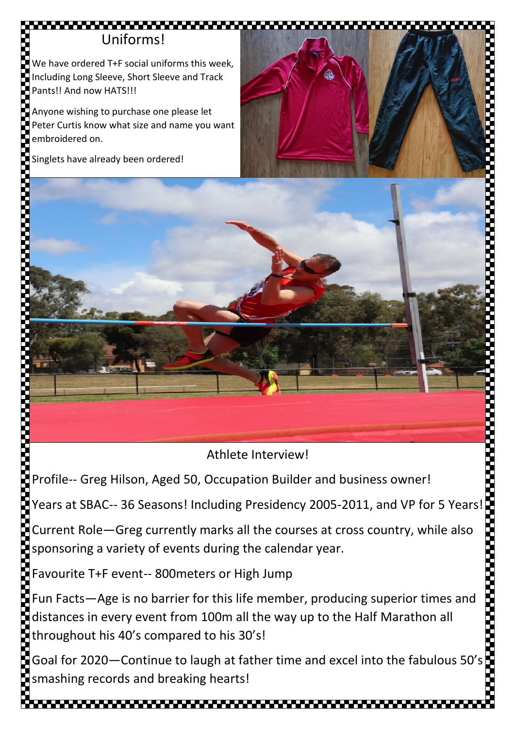## Uniforms!

We have ordered T+F social uniforms this week, Including Long Sleeve, Short Sleeve and Track Pants!! And now HATS!!!

Anyone wishing to purchase one please let Peter Curtis know what size and name you want embroidered on.

Singlets have already been ordered!





Profile-- Greg Hilson, Aged 50, Occupation Builder and business owner!

Years at SBAC-- 36 Seasons! Including Presidency 2005-2011, and VP for 5 Years!

Current Role—Greg currently marks all the courses at cross country, while also sponsoring a variety of events during the calendar year.

Favourite T+F event-- 800meters or High Jump

Fun Facts—Age is no barrier for this life member, producing superior times and distances in every event from 100m all the way up to the Half Marathon all throughout his 40's compared to his 30's!

Goal for 2020—Continue to laugh at father time and excel into the fabulous 50's  $\blacksquare$ smashing records and breaking hearts!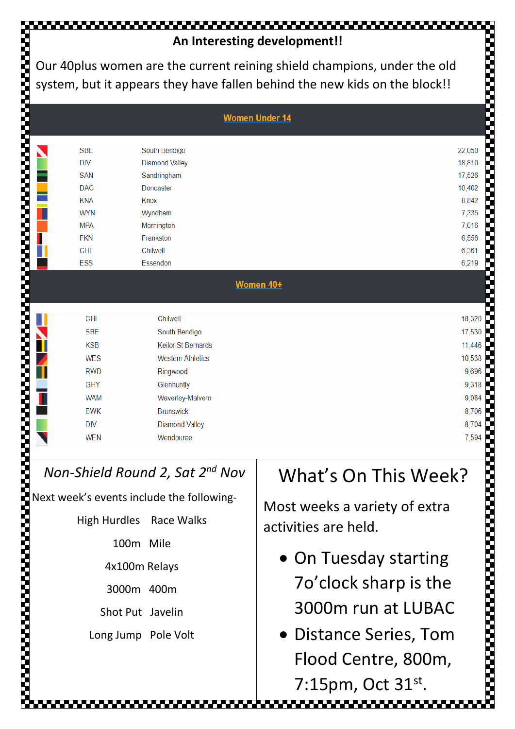# **An Interesting development!!**

Our 40plus women are the current reining shield champions, under the old system, but it appears they have fallen behind the new kids on the block!!

| <b>Women Under 14</b> |            |                           |        |  |  |
|-----------------------|------------|---------------------------|--------|--|--|
|                       | <b>SBE</b> | South Bendigo             | 22,050 |  |  |
|                       | <b>DIV</b> | <b>Diamond Valley</b>     | 18,810 |  |  |
|                       | <b>SAN</b> | Sandringham               | 17,526 |  |  |
|                       | <b>DAC</b> | Doncaster                 | 10,402 |  |  |
|                       | <b>KNA</b> | Knox                      | 8,842  |  |  |
|                       | <b>WYN</b> | Wyndham                   | 7,335  |  |  |
|                       | <b>MPA</b> | Mornington                | 7,016  |  |  |
|                       | <b>FKN</b> | Frankston                 | 6,556  |  |  |
|                       | <b>CHI</b> | Chilwell                  | 6,361  |  |  |
|                       | ESS        | Essendon                  | 6,219  |  |  |
|                       |            | Women 40+                 |        |  |  |
|                       | <b>CHI</b> | Chilwell                  | 18,320 |  |  |
|                       | <b>SBE</b> | South Bendigo             | 17,530 |  |  |
|                       | <b>KSB</b> | <b>Keilor St Bernards</b> | 11,446 |  |  |
|                       | <b>WES</b> | <b>Western Athletics</b>  | 10,538 |  |  |
|                       | <b>RWD</b> | Ringwood                  | 9,696  |  |  |
|                       | <b>GHY</b> | Glenhuntly                | 9,318  |  |  |
|                       | <b>WAM</b> | Waverley-Malvern          | 9,084  |  |  |
|                       | <b>BWK</b> | <b>Brunswick</b>          | 8,706  |  |  |
|                       | <b>DIV</b> | <b>Diamond Valley</b>     | 8,704  |  |  |
|                       | <b>WEN</b> | Wendouree                 | 7,594  |  |  |

### *Non-Shield Round 2, Sat 2nd Nov*

Next week's events include the following-

High Hurdles Race Walks

100m Mile

4x100m Relays

3000m 400m

Shot Put Javelin

Long Jump Pole Volt

# What's On This Week?

Most weeks a variety of extra activities are held.

- On Tuesday starting 7o'clock sharp is the 3000m run at LUBAC
- Distance Series, Tom Flood Centre, 800m,

7:15pm, Oct 31st.